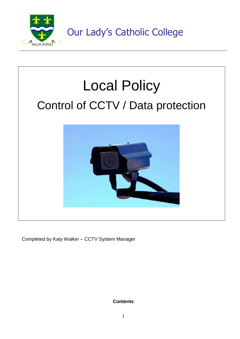



Completed by Katy Walker – CCTV System Manager

**Contents**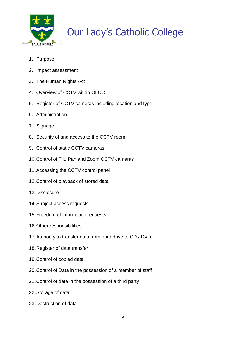

- 1. Purpose
- 2. Impact assessment
- 3. The Human Rights Act
- 4. Overview of CCTV within OLCC
- 5. Register of CCTV cameras including location and type
- 6. Administration
- 7. Signage
- 8. Security of and access to the CCTV room
- 9. Control of static CCTV cameras
- 10.Control of Tilt, Pan and Zoom CCTV cameras
- 11.Accessing the CCTV control panel
- 12.Control of playback of stored data
- 13.Disclosure
- 14.Subject access requests
- 15.Freedom of information requests
- 16.Other responsibilities
- 17.Authority to transfer data from hard drive to CD / DVD
- 18.Register of data transfer
- 19.Control of copied data
- 20.Control of Data in the possession of a member of staff
- 21.Control of data in the possession of a third party
- 22.Storage of data
- 23.Destruction of data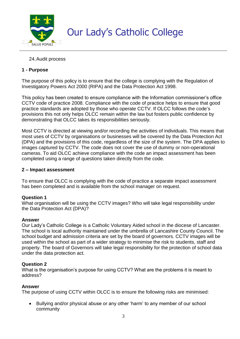

## 24.Audit process

## **1 - Purpose**

The purpose of this policy is to ensure that the college is complying with the Regulation of Investigatory Powers Act 2000 (RIPA) and the Data Protection Act 1998.

This policy has been created to ensure compliance with the Information commissioner's office CCTV code of practice 2008. Compliance with the code of practice helps to ensure that good practice standards are adopted by those who operate CCTV. If OLCC follows the code's provisions this not only helps OLCC remain within the law but fosters public confidence by demonstrating that OLCC takes its responsibilities seriously.

Most CCTV is directed at viewing and/or recording the activities of individuals. This means that most uses of CCTV by organisations or businesses will be covered by the Data Protection Act (DPA) and the provisions of this code, regardless of the size of the system. The DPA applies to images captured by CCTV. The code does not cover the use of dummy or non-operational cameras. To aid OLCC achieve compliance with the code an impact assessment has been completed using a range of questions taken directly from the code.

#### **2 – Impact assessment**

To ensure that OLCC is complying with the code of practice a separate impact assessment has been completed and is available from the school manager on request.

#### **Question 1**

What organisation will be using the CCTV images? Who will take legal responsibility under the Data Protection Act (DPA)?

#### **Answer**

Our Lady's Catholic College is a Catholic Voluntary Aided school in the diocese of Lancaster. The school is local authority maintained under the umbrella of Lancashire County Council. The school budget and admission criteria are set by the board of governors. CCTV images will be used within the school as part of a wider strategy to minimise the risk to students, staff and property. The board of Governors will take legal responsibility for the protection of school data under the data protection act.

#### **Question 2**

What is the organisation's purpose for using CCTV? What are the problems it is meant to address?

#### **Answer**

The purpose of using CCTV within OLCC is to ensure the following risks are minimised:

 Bullying and/or physical abuse or any other 'harm' to any member of our school community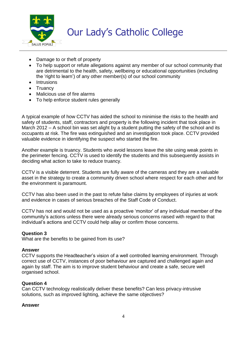

- Damage to or theft of property
- To help support or refute allegations against any member of our school community that are detrimental to the health, safety, wellbeing or educational opportunities (including the 'right to learn') of any other member(s) of our school community
- Intrusions
- Truancy
- Malicious use of fire alarms
- To help enforce student rules generally

A typical example of how CCTV has aided the school to minimise the risks to the health and safety of students, staff, contractors and property is the following incident that took place in March 2012 – A school bin was set alight by a student putting the safety of the school and its occupants at risk. The fire was extinguished and an investigation took place. CCTV provided valuable evidence in identifying the suspect who started the fire.

Another example is truancy. Students who avoid lessons leave the site using weak points in the perimeter fencing. CCTV is used to identify the students and this subsequently assists in deciding what action to take to reduce truancy.

CCTV is a visible deterrent. Students are fully aware of the cameras and they are a valuable asset in the strategy to create a community driven school where respect for each other and for the environment is paramount.

CCTV has also been used in the past to refute false claims by employees of injuries at work and evidence in cases of serious breaches of the Staff Code of Conduct.

CCTV has not and would not be used as a proactive 'monitor' of any individual member of the community's actions unless there were already serious concerns raised with regard to that individual's actions and CCTV could help allay or confirm those concerns.

## **Question 3**

What are the benefits to be gained from its use?

#### **Answer**

CCTV supports the Headteacher's vision of a well controlled learning environment. Through correct use of CCTV, instances of poor behaviour are captured and challenged again and again by staff. The aim is to improve student behaviour and create a safe, secure well organised school.

## **Question 4**

Can CCTV technology realistically deliver these benefits? Can less privacy-intrusive solutions, such as improved lighting, achieve the same objectives?

#### **Answer**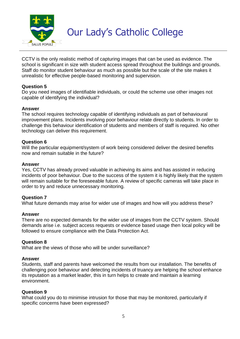

CCTV is the only realistic method of capturing images that can be used as evidence. The school is significant in size with student access spread throughout the buildings and grounds. Staff do monitor student behaviour as much as possible but the scale of the site makes it unrealistic for effective people-based monitoring and supervision.

#### **Question 5**

Do you need images of identifiable individuals, or could the scheme use other images not capable of identifying the individual?

#### **Answer**

The school requires technology capable of identifying individuals as part of behavioural improvement plans. Incidents involving poor behaviour relate directly to students. In order to challenge this behaviour identification of students and members of staff is required. No other technology can deliver this requirement.

#### **Question 6**

Will the particular equipment/system of work being considered deliver the desired benefits now and remain suitable in the future?

#### **Answer**

Yes, CCTV has already proved valuable in achieving its aims and has assisted in reducing incidents of poor behaviour. Due to the success of the system it is highly likely that the system will remain suitable for the foreseeable future. A review of specific cameras will take place in order to try and reduce unnecessary monitoring.

## **Question 7**

What future demands may arise for wider use of images and how will you address these?

## **Answer**

There are no expected demands for the wider use of images from the CCTV system. Should demands arise i.e. subject access requests or evidence based usage then local policy will be followed to ensure compliance with the Data Protection Act.

## **Question 8**

What are the views of those who will be under surveillance?

#### **Answer**

Students, staff and parents have welcomed the results from our installation. The benefits of challenging poor behaviour and detecting incidents of truancy are helping the school enhance its reputation as a market leader, this in turn helps to create and maintain a learning environment.

#### **Question 9**

What could you do to minimise intrusion for those that may be monitored, particularly if specific concerns have been expressed?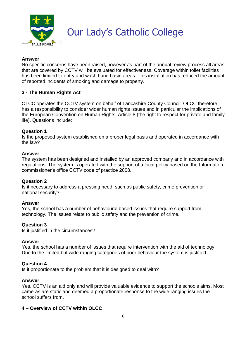

#### **Answer**

No specific concerns have been raised, however as part of the annual review process all areas that are covered by CCTV will be evaluated for effectiveness. Coverage within toilet facilities has been limited to entry and wash hand basin areas. This installation has reduced the amount of reported incidents of smoking and damage to property.

#### **3 - The Human Rights Act**

OLCC operates the CCTV system on behalf of Lancashire County Council. OLCC therefore has a responsibility to consider wider human rights issues and in particular the implications of the European Convention on Human Rights, Article 8 (the right to respect for private and family life). Questions include:

#### **Question 1**

Is the proposed system established on a proper legal basis and operated in accordance with the law?

#### **Answer**

The system has been designed and installed by an approved company and in accordance with regulations. The system is operated with the support of a local policy based on the Information commissioner's office CCTV code of practice 2008.

## **Question 2**

Is it necessary to address a pressing need, such as public safety, crime prevention or national security?

#### **Answer**

Yes, the school has a number of behavioural based issues that require support from technology. The issues relate to public safety and the prevention of crime.

#### **Question 3**

Is it justified in the circumstances?

#### **Answer**

Yes, the school has a number of issues that require intervention with the aid of technology. Due to the limited but wide ranging categories of poor behaviour the system is justified.

#### **Question 4**

Is it proportionate to the problem that it is designed to deal with?

#### **Answer**

Yes, CCTV is an aid only and will provide valuable evidence to support the schools aims. Most cameras are static and deemed a proportionate response to the wide ranging issues the school suffers from.

## **4 – Overview of CCTV within OLCC**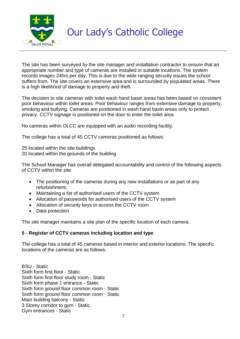

The site has been surveyed by the site manager and installation contractor to ensure that an appropriate number and type of cameras are installed in suitable locations. The system records images 24hrs per day. This is due to the wide ranging security issues the school suffers from. The site covers an extensive area and is surrounded by populated areas. There is a high likelihood of damage to property and theft.

The decision to site cameras with toilet wash hand basin areas has been based on consistent poor behaviour within toilet areas. Poor behaviour ranges from extensive damage to property, smoking and bullying. Cameras are positioned in wash hand basin areas only to protect privacy. CCTV signage is positioned on the door to enter the toilet area.

No cameras within OLCC are equipped with an audio recording facility.

The college has a total of 45 CCTV cameras positioned as follows:

25 located within the site buildings

20 located within the grounds of the building

The School Manager has overall delegated accountability and control of the following aspects of CCTV within the site:

- The positioning of the cameras during any new installations or as part of any refurbishment.
- Maintaining a list of authorised users of the CCTV system
- Allocation of passwords for authorised users of the CCTV system
- Allocation of security keys to access the CCTV room
- Data protection

The site manager maintains a site plan of the specific location of each camera.

## **5 - Register of CCTV cameras including location and type**

The college has a total of 45 cameras based in interior and exterior locations. The specific locations of the cameras are as follows:

BSU - Static Sixth form first floor - Static Sixth form first floor study room - Static Sixth form phase 1 entrance - Static Sixth form ground floor common room - Static Sixth form ground floor common room - Static Main building balcony - Static 3 Storey corridor to gym - Static Gym entrances - Static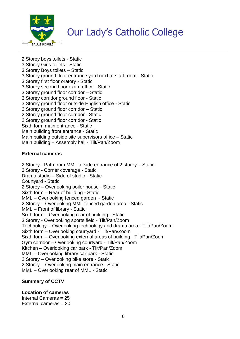

2 Storey boys toilets - Static 3 Storey Girls toilets - Static 3 Storey Boys toilets – Static 3 Storey ground floor entrance yard next to staff room - Static 3 Storey first floor oratory - Static 3 Storey second floor exam office - Static 3 Storey ground floor corridor – Static 3 Storey corridor ground floor - Static 3 Storey ground floor outside English office - Static 2 Storey ground floor corridor – Static 2 Storey ground floor corridor - Static 2 Storey ground floor corridor - Static Sixth form main entrance - Static Main building front entrance - Static Main building outside site supervisors office – Static Main building – Assembly hall - Tilt/Pan/Zoom

#### **External cameras**

2 Storey - Path from MML to side entrance of 2 storey – Static 3 Storey - Corner coverage - Static Drama studio – Side of studio - Static Courtyard - Static 2 Storey – Overlooking boiler house - Static Sixth form – Rear of building - Static MML – Overlooking fenced garden - Static 2 Storey – Overlooking MML fenced garden area - Static MML – Front of library - Static Sixth form – Overlooking rear of building - Static 3 Storey - Overlooking sports field - Tilt/Pan/Zoom Technology – Overlooking technology and drama area - Tilt/Pan/Zoom Sixth form – Overlooking courtyard - Tilt/Pan/Zoom Sixth form – Overlooking external areas of building - Tilt/Pan/Zoom Gym corridor – Overlooking courtyard - Tilt/Pan/Zoom Kitchen – Overlooking car park - Tilt/Pan/Zoom MML – Overlooking library car park - Static 2 Storey – Overlooking bike store - Static 2 Storey – Overlooking main entrance - Static MML – Overlooking rear of MML - Static

## **Summary of CCTV**

## **Location of cameras**

Internal Cameras = 25 External cameras = 20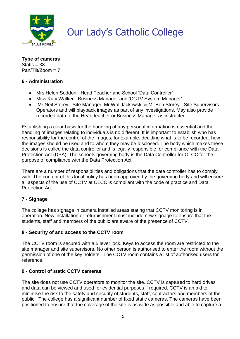

**Type of cameras** Static  $=$  38  $Pan/Tilt/Z$ oom = 7

# **6 - Administration**

- Mrs Helen Seddon Head Teacher and School 'Data Controller'
- Miss Katy Walker Business Manager and 'CCTV System Manager'
- Mr Neil Storey Site Manager, Mr Wal Jackowski & Mr Ben Storey Site Supervisors Operators and will playback images as part of any investigations. May also provide recorded data to the Head teacher or Business Manager as instructed.

Establishing a clear basis for the handling of any personal information is essential and the handling of images relating to individuals is no different. It is important to establish who has responsibility for the control of the images, for example, deciding what is to be recorded, how the images should be used and to whom they may be disclosed. The body which makes these decisions is called the data controller and is legally responsible for compliance with the Data Protection Act (DPA). The schools governing body is the Data Controller for OLCC for the purpose of compliance with the Data Protection Act.

There are a number of responsibilities and obligations that the data controller has to comply with. The content of this local policy has been approved by the governing body and will ensure all aspects of the use of CCTV at OLCC is compliant with the code of practice and Data Protection Act.

## **7 - Signage**

The college has signage in camera installed areas stating that CCTV monitoring is in operation. New installation or refurbishment must include new signage to ensure that the students, staff and members of the public are aware of the presence of CCTV.

## **8 - Security of and access to the CCTV room**

The CCTV room is secured with a 5 lever lock. Keys to access the room are restricted to the site manager and site supervisors. No other person is authorised to enter the room without the permission of one of the key holders. The CCTV room contains a list of authorised users for reference.

## **9 - Control of static CCTV cameras**

The site does not use CCTV operators to monitor the site. CCTV is captured to hard drives and data can be viewed and used for evidential purposes if required. CCTV is an aid to minimise the risk to the safety and security of students, staff, contractors and members of the public. The college has a significant number of fixed static cameras. The cameras have been positioned to ensure that the coverage of the site is as wide as possible and able to capture a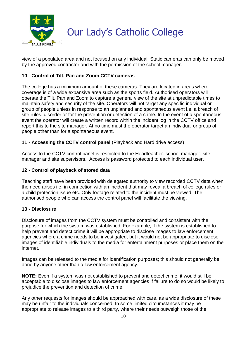

view of a populated area and not focused on any individual. Static cameras can only be moved by the approved contractor and with the permission of the school manager.

# **10 - Control of Tilt, Pan and Zoom CCTV cameras**

The college has a minimum amount of these cameras. They are located in areas where coverage is of a wide expansive area such as the sports field. Authorised operators will operate the Tilt, Pan and Zoom to capture a general view of the site at unpredictable times to maintain safety and security of the site. Operators will not target any specific individual or group of people unless in response to an unplanned and spontaneous event i.e. a breach of site rules, disorder or for the prevention or detection of a crime. In the event of a spontaneous event the operator will create a written record within the incident log in the CCTV office and report this to the site manager. At no time must the operator target an individual or group of people other than for a spontaneous event.

## **11 - Accessing the CCTV control panel** (Playback and Hard drive access)

Access to the CCTV control panel is restricted to the Headteacher. school manager, site manager and site supervisors. Access is password protected to each individual user.

# **12 - Control of playback of stored data**

Teaching staff have been provided with delegated authority to view recorded CCTV data when the need arises i.e. in connection with an incident that may reveal a breach of college rules or a child protection issue etc. Only footage related to the incident must be viewed. The authorised people who can access the control panel will facilitate the viewing.

## **13 - Disclosure**

Disclosure of images from the CCTV system must be controlled and consistent with the purpose for which the system was established. For example, if the system is established to help prevent and detect crime it will be appropriate to disclose images to law enforcement agencies where a crime needs to be investigated, but it would not be appropriate to disclose images of identifiable individuals to the media for entertainment purposes or place them on the internet.

Images can be released to the media for identification purposes; this should not generally be done by anyone other than a law enforcement agency.

**NOTE:** Even if a system was not established to prevent and detect crime, it would still be acceptable to disclose images to law enforcement agencies if failure to do so would be likely to prejudice the prevention and detection of crime.

Any other requests for images should be approached with care, as a wide disclosure of these may be unfair to the individuals concerned. In some limited circumstances it may be appropriate to release images to a third party, where their needs outweigh those of the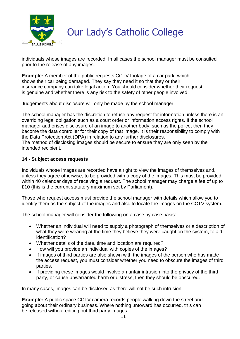

individuals whose images are recorded. In all cases the school manager must be consulted prior to the release of any images.

**Example:** A member of the public requests CCTV footage of a car park, which shows their car being damaged. They say they need it so that they or their insurance company can take legal action. You should consider whether their request is genuine and whether there is any risk to the safety of other people involved.

Judgements about disclosure will only be made by the school manager.

The school manager has the discretion to refuse any request for information unless there is an overriding legal obligation such as a court order or information access rights. If the school manager authorises disclosure of an image to another body, such as the police, then they become the data controller for their copy of that image. It is their responsibility to comply with the Data Protection Act (DPA) in relation to any further disclosures.

The method of disclosing images should be secure to ensure they are only seen by the intended recipient.

## **14 - Subject access requests**

Individuals whose images are recorded have a right to view the images of themselves and, unless they agree otherwise, to be provided with a copy of the images. This must be provided within 40 calendar days of receiving a request. The school manager may charge a fee of up to £10 (this is the current statutory maximum set by Parliament).

Those who request access must provide the school manager with details which allow you to identify them as the subject of the images and also to locate the images on the CCTV system.

The school manager will consider the following on a case by case basis:

- Whether an individual will need to supply a photograph of themselves or a description of what they were wearing at the time they believe they were caught on the system, to aid identification?
- Whether details of the date, time and location are required?
- How will you provide an individual with copies of the images?
- If images of third parties are also shown with the images of the person who has made the access request, you must consider whether you need to obscure the images of third parties.
- If providing these images would involve an unfair intrusion into the privacy of the third party, or cause unwarranted harm or distress, then they should be obscured.

In many cases, images can be disclosed as there will not be such intrusion.

**Example:** A public space CCTV camera records people walking down the street and going about their ordinary business. Where nothing untoward has occurred, this can be released without editing out third party images.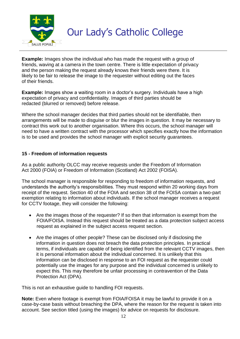

**Example:** Images show the individual who has made the request with a group of friends, waving at a camera in the town centre. There is little expectation of privacy and the person making the request already knows their friends were there. It is likely to be fair to release the image to the requester without editing out the faces of their friends.

**Example:** Images show a waiting room in a doctor's surgery. Individuals have a high expectation of privacy and confidentiality. Images of third parties should be redacted (blurred or removed) before release.

Where the school manager decides that third parties should not be identifiable, then arrangements will be made to disguise or blur the images in question. It may be necessary to contract this work out to another organisation. Where this occurs, the school manager will need to have a written contract with the processor which specifies exactly how the information is to be used and provides the school manager with explicit security guarantees.

# **15 - Freedom of information requests**

As a public authority OLCC may receive requests under the Freedom of Information Act 2000 (FOIA) or Freedom of Information (Scotland) Act 2002 (FOISA).

The school manager is responsible for responding to freedom of information requests, and understands the authority's responsibilities. They must respond within 20 working days from receipt of the request. Section 40 of the FOIA and section 38 of the FOISA contain a two-part exemption relating to information about individuals. If the school manager receives a request for CCTV footage, they will consider the following:

- Are the images those of the requester? If so then that information is exempt from the FOIA/FOISA. Instead this request should be treated as a data protection subject access request as explained in the subject access request section.
- Are the images of other people? These can be disclosed only if disclosing the information in question does not breach the data protection principles. In practical terms, if individuals are capable of being identified from the relevant CCTV images, then it is personal information about the individual concerned. It is unlikely that this information can be disclosed in response to an FOI request as the requester could potentially use the images for any purpose and the individual concerned is unlikely to expect this. This may therefore be unfair processing in contravention of the Data Protection Act (DPA).

This is not an exhaustive guide to handling FOI requests.

**Note:** Even where footage is exempt from FOIA/FOISA it may be lawful to provide it on a case-by-case basis without breaching the DPA, where the reason for the request is taken into account. See section titled (using the images) for advice on requests for disclosure.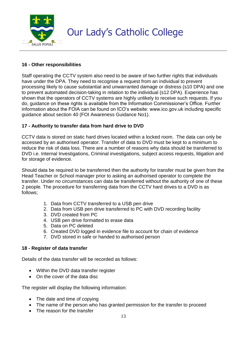

# **16 - Other responsibilities**

Staff operating the CCTV system also need to be aware of two further rights that individuals have under the DPA. They need to recognise a request from an individual to prevent processing likely to cause substantial and unwarranted damage or distress (s10 DPA) and one to prevent automated decision-taking in relation to the individual (s12 DPA). Experience has shown that the operators of CCTV systems are highly unlikely to receive such requests. If you do, guidance on these rights is available from the Information Commissioner's Office. Further information about the FOIA can be found on ICO's website: www.ico.gov.uk including specific guidance about section 40 (FOI Awareness Guidance No1).

# **17 - Authority to transfer data from hard drive to DVD**

CCTV data is stored on static hard drives located within a locked room. The data can only be accessed by an authorised operator. Transfer of data to DVD must be kept to a minimum to reduce the risk of data loss. There are a number of reasons why data should be transferred to DVD i.e. Internal Investigations, Criminal investigations, subject access requests, litigation and for storage of evidence.

Should data be required to be transferred then the authority for transfer must be given from the Head Teacher or School manager prior to asking an authorised operator to complete the transfer. Under no circumstances can data be transferred without the authority of one of these 2 people. The procedure for transferring data from the CCTV hard drives to a DVD is as follows;

- 1. Data from CCTV transferred to a USB pen drive
- 2. Data from USB pen drive transferred to PC with DVD recording facility
- 3. DVD created from PC
- 4. USB pen drive formatted to erase data
- 5. Data on PC deleted
- 6. Created DVD logged in evidence file to account for chain of evidence
- 7. DVD stored in safe or handed to authorised person

## **18 - Register of data transfer**

Details of the data transfer will be recorded as follows:

- Within the DVD data transfer register
- On the cover of the data disc

The register will display the following information:

- The date and time of copying
- The name of the person who has granted permission for the transfer to proceed
- The reason for the transfer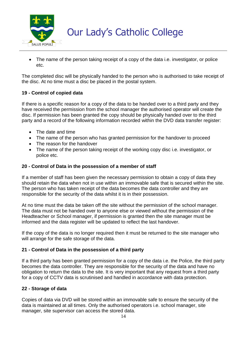

• The name of the person taking receipt of a copy of the data i.e. investigator, or police etc.

The completed disc will be physically handed to the person who is authorised to take receipt of the disc. At no time must a disc be placed in the postal system.

# **19 - Control of copied data**

If there is a specific reason for a copy of the data to be handed over to a third party and they have received the permission from the school manager the authorised operator will create the disc. If permission has been granted the copy should be physically handed over to the third party and a record of the following information recorded within the DVD data transfer register:

- The date and time
- The name of the person who has granted permission for the handover to proceed
- The reason for the handover
- The name of the person taking receipt of the working copy disc i.e. investigator, or police etc.

#### **20 - Control of Data in the possession of a member of staff**

If a member of staff has been given the necessary permission to obtain a copy of data they should retain the data when not in use within an immovable safe that is secured within the site. The person who has taken receipt of the data becomes the data controller and they are responsible for the security of the data whilst it is in their possession.

At no time must the data be taken off the site without the permission of the school manager. The data must not be handed over to anyone else or viewed without the permission of the Headteacher or School manager, if permission is granted then the site manager must be informed and the data register will be updated to reflect the last handover.

If the copy of the data is no longer required then it must be returned to the site manager who will arrange for the safe storage of the data.

## **21 - Control of Data in the possession of a third party**

If a third party has been granted permission for a copy of the data i.e. the Police, the third party becomes the data controller. They are responsible for the security of the data and have no obligation to return the data to the site. It is very important that any request from a third party for a copy of CCTV data is scrutinised and handled in accordance with data protection.

## **22 - Storage of data**

Copies of data via DVD will be stored within an immovable safe to ensure the security of the data is maintained at all times. Only the authorised operators i.e. school manager, site manager, site supervisor can access the stored data.